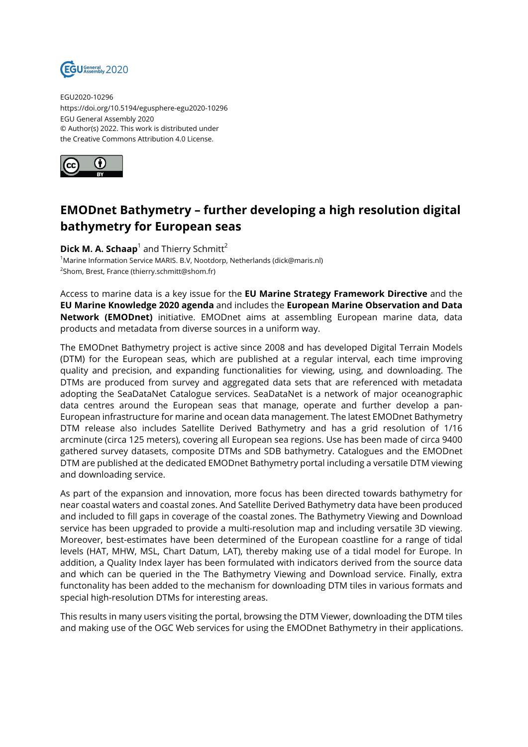

EGU2020-10296 https://doi.org/10.5194/egusphere-egu2020-10296 EGU General Assembly 2020 © Author(s) 2022. This work is distributed under the Creative Commons Attribution 4.0 License.



## **EMODnet Bathymetry – further developing a high resolution digital bathymetry for European seas**

**Dick M. A. Schaap**<sup>1</sup> and Thierry Schmitt<sup>2</sup> <sup>1</sup>Marine Information Service MARIS. B.V, Nootdorp, Netherlands (dick@maris.nl) <sup>2</sup>Shom, Brest, France (thierry.schmitt@shom.fr)

Access to marine data is a key issue for the **EU Marine Strategy Framework Directive** and the **EU Marine Knowledge 2020 agenda** and includes the **European Marine Observation and Data Network (EMODnet)** initiative. EMODnet aims at assembling European marine data, data products and metadata from diverse sources in a uniform way.

The EMODnet Bathymetry project is active since 2008 and has developed Digital Terrain Models (DTM) for the European seas, which are published at a regular interval, each time improving quality and precision, and expanding functionalities for viewing, using, and downloading. The DTMs are produced from survey and aggregated data sets that are referenced with metadata adopting the SeaDataNet Catalogue services. SeaDataNet is a network of major oceanographic data centres around the European seas that manage, operate and further develop a pan-European infrastructure for marine and ocean data management. The latest EMODnet Bathymetry DTM release also includes Satellite Derived Bathymetry and has a grid resolution of 1/16 arcminute (circa 125 meters), covering all European sea regions. Use has been made of circa 9400 gathered survey datasets, composite DTMs and SDB bathymetry. Catalogues and the EMODnet DTM are published at the dedicated EMODnet Bathymetry portal including a versatile DTM viewing and downloading service.

As part of the expansion and innovation, more focus has been directed towards bathymetry for near coastal waters and coastal zones. And Satellite Derived Bathymetry data have been produced and included to fill gaps in coverage of the coastal zones. The Bathymetry Viewing and Download service has been upgraded to provide a multi-resolution map and including versatile 3D viewing. Moreover, best-estimates have been determined of the European coastline for a range of tidal levels (HAT, MHW, MSL, Chart Datum, LAT), thereby making use of a tidal model for Europe. In addition, a Quality Index layer has been formulated with indicators derived from the source data and which can be queried in the The Bathymetry Viewing and Download service. Finally, extra functonality has been added to the mechanism for downloading DTM tiles in various formats and special high-resolution DTMs for interesting areas.

This results in many users visiting the portal, browsing the DTM Viewer, downloading the DTM tiles and making use of the OGC Web services for using the EMODnet Bathymetry in their applications.